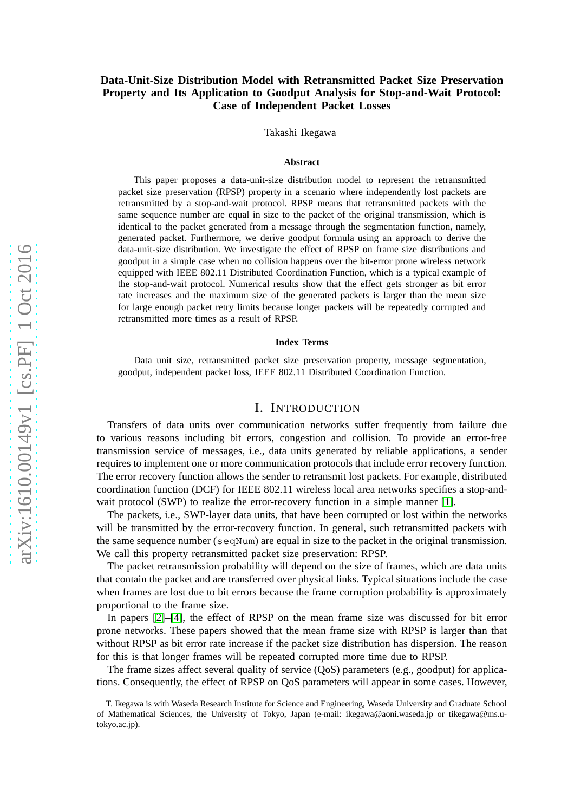## **Data-Unit-Size Distribution Model with Retransmitted Packet Size Preservation Property and Its Application to Goodput Analysis for Stop-and-Wait Protocol: Case of Independent Packet Losses**

Takashi Ikegawa

#### **Abstract**

This paper proposes a data-unit-size distribution model to represent the retransmitted packet size preservation (RPSP) property in a scenario where independently lost packets are retransmitted by a stop-and-wait protocol. RPSP means that retransmitted packets with the same sequence number are equal in size to the packet of the original transmission, which is identical to the packet generated from a message through the segmentation function, namely, generated packet. Furthermore, we derive goodput formula using an approach to derive the data-unit-size distribution. We investigate the effect of RPSP on frame size distributions and goodput in a simple case when no collision happens over the bit-error prone wireless network equipped with IEEE 802.11 Distributed Coordination Function, which is a typical example of the stop-and-wait protocol. Numerical results show that the effect gets stronger as bit error rate increases and the maximum size of the generated packets is larger than the mean size for large enough packet retry limits because longer packets will be repeatedly corrupted and retransmitted more times as a result of RPSP.

#### **Index Terms**

Data unit size, retransmitted packet size preservation property, message segmentation, goodput, independent packet loss, IEEE 802.11 Distributed Coordination Function.

#### I. INTRODUCTION

Transfers of data units over communication networks suffer frequently from failure due to various reasons including bit errors, congestion and collision. To provide an error-free transmission service of messages, i.e., data units generated by reliable applications, a sender requires to implement one or more communication protocols that include error recovery function. The error recovery function allows the sender to retransmit lost packets. For example, distributed coordination function (DCF) for IEEE 802.11 wireless local area networks specifies a stop-and-wait protocol (SWP) to realize the error-recovery function in a simple manner [\[1\]](#page-15-0).

The packets, i.e., SWP-layer data units, that have been corrupted or lost within the networks will be transmitted by the error-recovery function. In general, such retransmitted packets with the same sequence number (seqNum) are equal in size to the packet in the original transmission . We call this property retransmitted packet size preservation: RPSP.

The packet retransmission probability will depend on the size of frames, which are data units that contain the packet and are transferred over physical links. Typical situations include the case when frames are lost due to bit errors because the frame corruption probability is approximately proportional to the frame size.

In papers [\[2\]](#page-15-1)–[\[4\]](#page-15-2), the effect of RPSP on the mean frame size was discussed for bit error prone networks. These papers showed that the mean frame size with RPSP is larger than that without RPSP as bit error rate increase if the packet size distribution has dispersion. The reason for this is that longer frames will be repeated corrupted more time due to RPSP.

The frame sizes affect several quality of service (QoS) parameters (e.g., goodput) for applications. Consequently, the effect of RPSP on QoS parameters will appear in some cases. However,

T. Ikegawa is with Waseda Research Institute for Science and Engineering, Waseda University and Graduate School of Mathematical Sciences, the University of Tokyo, Japan (e-mail: ikegawa@aoni.waseda.jp or tikegawa@ms.utokyo.ac.jp).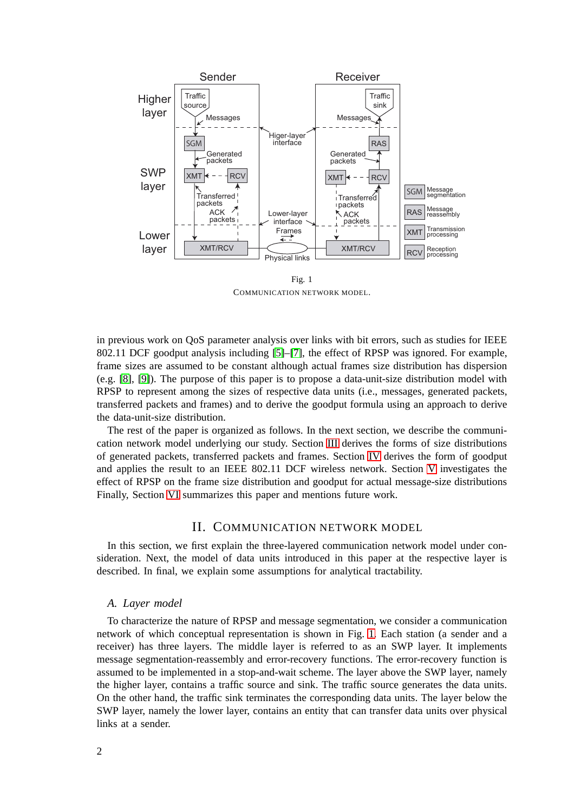

Fig. 1 COMMUNICATION NETWORK MODEL.

<span id="page-1-0"></span>in previous work on QoS parameter analysis over links with bit errors, such as studies for IEEE 802.11 DCF goodput analysis including [\[5\]](#page-15-3)–[\[7\]](#page-15-4), the effect of RPSP was ignored. For example, frame sizes are assumed to be constant although actual frames size distribution has dispersion (e.g. [\[8\]](#page-15-5), [\[9\]](#page-15-6)). The purpose of this paper is to propose a data-unit-size distribution model with RPSP to represent among the sizes of respective data units (i.e., messages, generated packets, transferred packets and frames) and to derive the goodput formula using an approach to derive the data-unit-size distribution.

The rest of the paper is organized as follows. In the next section, we describe the communication network model underlying our study. Section [III](#page-2-0) derives the forms of size distributions of generated packets, transferred packets and frames. Section [IV](#page-5-0) derives the form of goodput and applies the result to an IEEE 802.11 DCF wireless network. Section [V](#page-6-0) investigates the effect of RPSP on the frame size distribution and goodput for actual message-size distributions Finally, Section [VI](#page-9-0) summarizes this paper and mentions future work.

## II. COMMUNICATION NETWORK MODEL

In this section, we first explain the three-layered communication network model under consideration. Next, the model of data units introduced in this paper at the respective layer is described. In final, we explain some assumptions for analytical tractability.

#### *A. Layer model*

To characterize the nature of RPSP and message segmentation, we consider a communication network of which conceptual representation is shown in Fig. [1.](#page-1-0) Each station (a sender and a receiver) has three layers. The middle layer is referred to as an SWP layer. It implements message segmentation-reassembly and error-recovery functions. The error-recovery function is assumed to be implemented in a stop-and-wait scheme. The layer above the SWP layer, namely the higher layer, contains a traffic source and sink. The traffic source generates the data units. On the other hand, the traffic sink terminates the corresponding data units. The layer below the SWP layer, namely the lower layer, contains an entity that can transfer data units over physical links at a sender.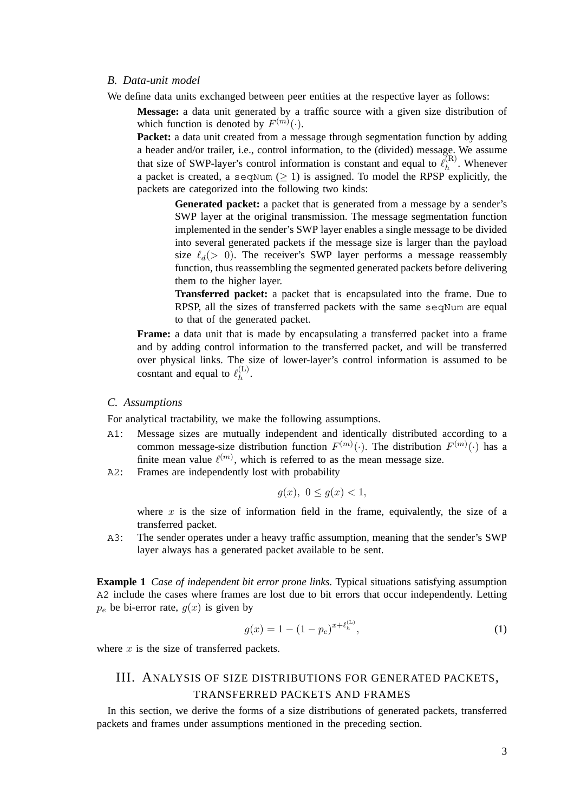#### *B. Data-unit model*

We define data units exchanged between peer entities at the respective layer as follows:

**Message:** a data unit generated by a traffic source with a given size distribution of which function is denoted by  $F^{(m)}(\cdot)$ .

Packet: a data unit created from a message through segmentation function by adding a header and/or trailer, i.e., control information, to the (divided) message. We assume that size of SWP-layer's control information is constant and equal to  $\ell_h^{(R)}$  $h^{(R)}$ . Whenever a packet is created, a seqNum  $(≥ 1)$  is assigned. To model the RPSP explicitly, the packets are categorized into the following two kinds:

> Generated packet: a packet that is generated from a message by a sender's SWP layer at the original transmission. The message segmentation function implemented in the sender's SWP layer enables a single message to be divided into several generated packets if the message size is larger than the payload size  $\ell_d$  (> 0). The receiver's SWP layer performs a message reassembly function, thus reassembling the segmented generated packets before delivering them to the higher layer.

> **Transferred packet:** a packet that is encapsulated into the frame. Due to RPSP, all the sizes of transferred packets with the same seqNum are equal to that of the generated packet.

**Frame:** a data unit that is made by encapsulating a transferred packet into a frame and by adding control information to the transferred packet, and will be transferred over physical links. The size of lower-layer's control information is assumed to be cosntant and equal to  $\ell_h^{(L)}$  $h^{(L)}$ .

#### *C. Assumptions*

For analytical tractability, we make the following assumptions.

- A1: Message sizes are mutually independent and identically distributed according to a common message-size distribution function  $F^{(m)}(\cdot)$ . The distribution  $F^{(m)}(\cdot)$  has a finite mean value  $\ell^{(m)}$ , which is referred to as the mean message size.
- A2: Frames are independently lost with probability

$$
g(x), \ 0 \le g(x) < 1,
$$

where  $x$  is the size of information field in the frame, equivalently, the size of a transferred packet.

A3: The sender operates under a heavy traffic assumption, meaning that the sender's SWP layer always has a generated packet available to be sent.

**Example 1** *Case of independent bit error prone links.* Typical situations satisfying assumption A2 include the cases where frames are lost due to bit errors that occur independently. Letting  $p_e$  be bi-error rate,  $g(x)$  is given by

$$
g(x) = 1 - (1 - p_e)^{x + \ell_h^{(L)}},\tag{1}
$$

<span id="page-2-0"></span>where  $x$  is the size of transferred packets.

# III. ANALYSIS OF SIZE DISTRIBUTIONS FOR GENERATED PACKETS, TRANSFERRED PACKETS AND FRAMES

In this section, we derive the forms of a size distributions of generated packets, transferred packets and frames under assumptions mentioned in the preceding section.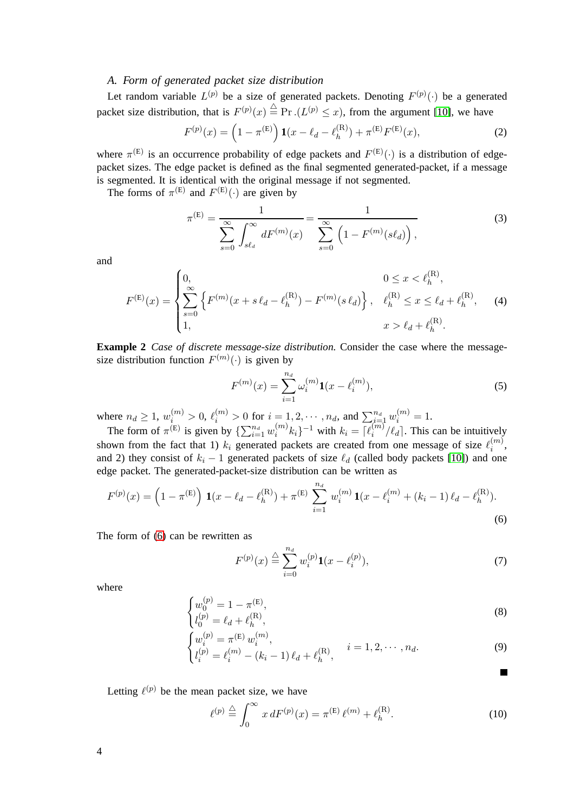## *A. Form of generated packet size distribution*

Let random variable  $L^{(p)}$  be a size of generated packets. Denoting  $F^{(p)}(\cdot)$  be a generated packet size distribution, that is  $F^{(p)}(x) \stackrel{\triangle}{=} \Pr .(L^{(p)} \leq x)$ , from the argument [\[10\]](#page-15-7), we have

<span id="page-3-1"></span>
$$
F^{(p)}(x) = \left(1 - \pi^{(E)}\right) \mathbf{1}(x - \ell_d - \ell_h^{(R)}) + \pi^{(E)} F^{(E)}(x), \tag{2}
$$

where  $\pi^{(E)}$  is an occurrence probability of edge packets and  $F^{(E)}(\cdot)$  is a distribution of edgepacket sizes. The edge packet is defined as the final segmented generated-packet, if a message is segmented. It is identical with the original message if not segmented.

The forms of  $\pi^{(E)}$  and  $F^{(E)}(\cdot)$  are given by

$$
\pi^{(E)} = \frac{1}{\sum_{s=0}^{\infty} \int_{s\ell_d}^{\infty} dF^{(m)}(x)} = \frac{1}{\sum_{s=0}^{\infty} \left(1 - F^{(m)}(s\ell_d)\right)},
$$
(3)

and

$$
F^{(\mathrm{E})}(x) = \begin{cases} 0, & 0 \le x < \ell_h^{(\mathrm{R})}, \\ \sum_{s=0}^{\infty} \left\{ F^{(m)}(x + s \ell_d - \ell_h^{(\mathrm{R})}) - F^{(m)}(s \ell_d) \right\}, & \ell_h^{(\mathrm{R})} \le x \le \ell_d + \ell_h^{(\mathrm{R})}, \\ 1, & x > \ell_d + \ell_h^{(\mathrm{R})}. \end{cases}
$$
(4)

**Example 2** *Case of discrete message-size distribution.* Consider the case where the messagesize distribution function  $F^{(m)}(\cdot)$  is given by

<span id="page-3-2"></span>
$$
F^{(m)}(x) = \sum_{i=1}^{n_d} \omega_i^{(m)} \mathbf{1}(x - \ell_i^{(m)}),
$$
 (5)

where  $n_d \ge 1$ ,  $w_i^{(m)} > 0$ ,  $\ell_i^{(m)} > 0$  for  $i = 1, 2, \dots, n_d$ , and  $\sum_{i=1}^{n_d} w_i^{(m)} = 1$ .

The form of  $\pi^{(E)}$  is given by  $\{\sum_{i=1}^{n_d} w_i^{(m)}\}$  $\binom{m}{i} k_i \}^{-1}$  with  $k_i = \lceil \ell_i^{(m)} \rceil$  $\int_{i}^{(m)}/\ell_d$ . This can be intuitively shown from the fact that 1)  $k_i$  generated packets are created from one message of size  $\ell_i^{(m)}$  $\binom{m}{i}$ and 2) they consist of  $k_i - 1$  generated packets of size  $\ell_d$  (called body packets [\[10\]](#page-15-7)) and one edge packet. The generated-packet-size distribution can be written as

$$
F^{(p)}(x) = \left(1 - \pi^{(E)}\right) \mathbf{1}(x - \ell_d - \ell_h^{(R)}) + \pi^{(E)} \sum_{i=1}^{n_d} w_i^{(m)} \mathbf{1}(x - \ell_i^{(m)} + (k_i - 1)\ell_d - \ell_h^{(R)}).
$$
\n(6)

The form of [\(6\)](#page-3-0) can be rewritten as

$$
F^{(p)}(x) \stackrel{\triangle}{=} \sum_{i=0}^{n_d} w_i^{(p)} \mathbf{1}(x - \ell_i^{(p)}),
$$
 (7)

<span id="page-3-3"></span><span id="page-3-0"></span>П

where

$$
\begin{cases} w_0^{(p)} = 1 - \pi^{(\text{E})}, \\ l_0^{(p)} = \ell_d + \ell_h^{(\text{R})}, \end{cases}
$$
\n(8)

$$
\begin{cases}\nw_i^{(p)} = \pi^{(\text{E})} w_i^{(m)},\\ \n l_i^{(p)} = \ell_i^{(m)} - (k_i - 1) \, \ell_d + \ell_h^{(\text{R})},\n\end{cases}\n\quad i = 1, 2, \cdots, n_d.
$$
\n(9)

Letting  $\ell^{(p)}$  be the mean packet size, we have

$$
\ell^{(p)} \stackrel{\triangle}{=} \int_0^\infty x \, dF^{(p)}(x) = \pi^{(\text{E})} \, \ell^{(m)} + \ell_h^{(\text{R})}.
$$
 (10)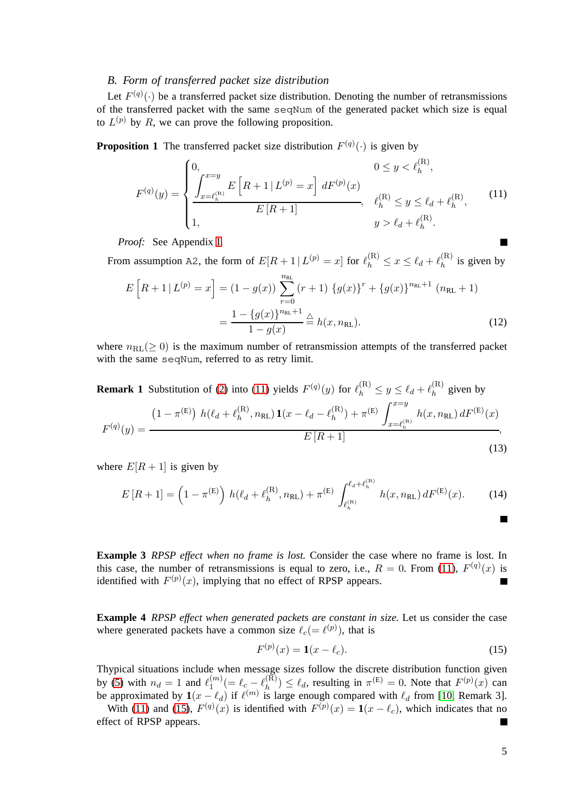### *B. Form of transferred packet size distribution*

Let  $F^{(q)}(\cdot)$  be a transferred packet size distribution. Denoting the number of retransmissions of the transferred packet with the same seqNum of the generated packet which size is equal to  $L^{(p)}$  by R, we can prove the following proposition.

<span id="page-4-3"></span>**Proposition 1** The transferred packet size distribution  $F^{(q)}(\cdot)$  is given by

<span id="page-4-0"></span>
$$
F^{(q)}(y) = \begin{cases} 0, & 0 \le y < \ell_h^{(\mathbf{R})}, \\ \frac{\int_{x=\ell_h^{(\mathbf{R})}}^{x=y} E\left[R+1 \mid L^{(p)}=x\right] dF^{(p)}(x)}{E\left[R+1\right]}, & \ell_h^{(\mathbf{R})} \le y \le \ell_d + \ell_h^{(\mathbf{R})}, \\ 1, & y > \ell_d + \ell_h^{(\mathbf{R})}. \end{cases}
$$
(11)

*Proof:* See Appendix [I.](#page-10-0)

From assumption A2, the form of  $E[R+1 | L^{(p)} = x]$  for  $\ell_h^{(R)} \le x \le \ell_d + \ell_h^{(R)}$  $h^{(h)}$  is given by

$$
E\left[R+1|L^{(p)}=x\right] = (1-g(x))\sum_{r=0}^{n_{\text{RL}}} (r+1) \{g(x)\}^{r} + \{g(x)\}^{n_{\text{RL}}+1} (n_{\text{RL}}+1)
$$

$$
= \frac{1 - \{g(x)\}^{n_{\text{RL}}+1}}{1 - g(x)} \stackrel{\triangle}{=} h(x, n_{\text{RL}}).
$$
(12)

where  $n_{\text{RL}}(\geq 0)$  is the maximum number of retransmission attempts of the transferred packet with the same seqNum, referred to as retry limit.

**Remark 1** Substitution of [\(2\)](#page-3-1) into [\(11\)](#page-4-0) yields  $F^{(q)}(y)$  for  $\ell_h^{(R)} \leq y \leq \ell_d + \ell_h^{(R)}$  $h^{(R)}$  given by

$$
F^{(q)}(y) = \frac{(1 - \pi^{(E)}) h(\ell_d + \ell_h^{(R)}, n_{RL}) \mathbf{1}(x - \ell_d - \ell_h^{(R)}) + \pi^{(E)} \int_{x = \ell_h^{(R)}}^{x = y} h(x, n_{RL}) dF^{(E)}(x)}{E[R + 1]},
$$
\n(13)

where  $E[R + 1]$  is given by

$$
E[R+1] = \left(1 - \pi^{(E)}\right) h(\ell_d + \ell_h^{(R)}, n_{RL}) + \pi^{(E)} \int_{\ell_h^{(R)}}^{\ell_d + \ell_h^{(R)}} h(x, n_{RL}) dF^{(E)}(x).
$$
 (14)

<span id="page-4-2"></span>**Example 3** *RPSP effect when no frame is lost.* Consider the case where no frame is lost. In this case, the number of retransmissions is equal to zero, i.e.,  $R = 0$ . From [\(11\)](#page-4-0),  $F^{(q)}(x)$  is identified with  $F^{(p)}(x)$ , implying that no effect of RPSP appears.  $\blacksquare$ 

**Example 4** *RPSP effect when generated packets are constant in size.* Let us consider the case where generated packets have a common size  $\ell_c (= \ell^{(p)})$ , that is

<span id="page-4-1"></span>
$$
F^{(p)}(x) = \mathbf{1}(x - \ell_c). \tag{15}
$$

Thypical situations include when message sizes follow the discrete distribution function given by [\(5\)](#page-3-2) with  $n_d = 1$  and  $\ell_1^{(m)}$  $\ell_1^{(m)}(=\ell_c-\ell_h^{(\bar{\mathrm{R}})})$  $\binom{R}{h}$   $\leq \ell_d$ , resulting in  $\pi^{(E)} = 0$ . Note that  $F^{(p)}(x)$  can be approximated by  $\mathbf{1}(x - \ell_d)$  if  $\ell^{(m)}$  is large enough compared with  $\ell_d$  from [\[10,](#page-15-7) Remark 3].

With [\(11\)](#page-4-0) and [\(15\)](#page-4-1),  $F^{(q)}(x)$  is identified with  $F^{(p)}(x) = \mathbf{1}(x - \ell_c)$ , which indicates that no effect of RPSP appears. П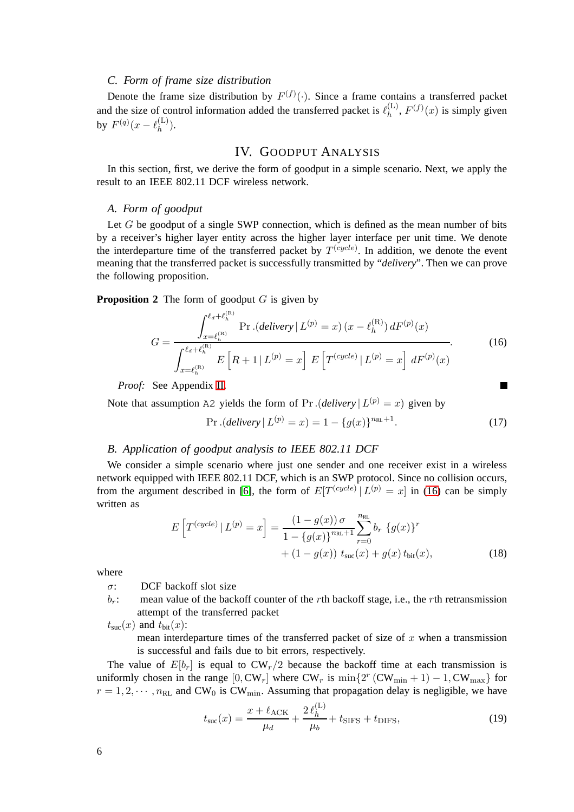### *C. Form of frame size distribution*

Denote the frame size distribution by  $F^{(f)}(\cdot)$ . Since a frame contains a transferred packet and the size of control information added the transferred packet is  $\ell_h^{(L)}$  $h^{(L)}$ ,  $F^{(f)}(x)$  is simply given by  $F^{(q)}(x - \ell_h^{(L)})$  $\binom{L}{h}$ .

## IV. GOODPUT ANALYSIS

<span id="page-5-0"></span>In this section, first, we derive the form of goodput in a simple scenario. Next, we apply the result to an IEEE 802.11 DCF wireless network.

#### *A. Form of goodput*

Let  $G$  be goodput of a single SWP connection, which is defined as the mean number of bits by a receiver's higher layer entity across the higher layer interface per unit time. We denote the interdeparture time of the transferred packet by  $T^{(cycle)}$ . In addition, we denote the event meaning that the transferred packet is successfully transmitted by "*delivery*". Then we can prove the following proposition.

<span id="page-5-3"></span>**Proposition 2** The form of goodput G is given by

$$
G = \frac{\int_{x=\ell_h^{(\mathrm{R})}}^{\ell_d+\ell_h^{(\mathrm{R})}} \mathrm{Pr}\left(delivery \mid L^{(p)}=x\right)(x-\ell_h^{(\mathrm{R})}) dF^{(p)}(x)}{\int_{x=\ell_h^{(\mathrm{R})}}^{\ell_d+\ell_h^{(\mathrm{R})}} E\left[R+1 \mid L^{(p)}=x\right] E\left[T^{(cycle)} \mid L^{(p)}=x\right] dF^{(p)}(x)}.
$$
(16)

*Proof:* See Appendix [II.](#page-12-0)

Note that assumption A2 yields the form of Pr.  $(delivery | L^{(p)} = x)$  given by

<span id="page-5-2"></span><span id="page-5-1"></span>
$$
\Pr.(delivery \mid L^{(p)} = x) = 1 - \{g(x)\}^{n_{\text{RL}}+1}.\tag{17}
$$

#### *B. Application of goodput analysis to IEEE 802.11 DCF*

We consider a simple scenario where just one sender and one receiver exist in a wireless network equipped with IEEE 802.11 DCF, which is an SWP protocol. Since no collision occurs, from the argument described in [\[6\]](#page-15-8), the form of  $E[T^{(cycle)} | L^{(p)} = x]$  in [\(16\)](#page-5-1) can be simply written as

$$
E\left[T^{(cycle)} | L^{(p)} = x\right] = \frac{(1 - g(x)) \sigma}{1 - \{g(x)\}^{n_{\text{RL}} + 1}} \sum_{r=0}^{n_{\text{RL}}} b_r \{g(x)\}^r + (1 - g(x)) \ t_{\text{sur}}(x) + g(x) \ t_{\text{bit}}(x), \tag{18}
$$

where

 $\sigma$ : DCF backoff slot size

 $b_r$ : mean value of the backoff counter of the rth backoff stage, i.e., the rth retransmission attempt of the transferred packet

 $t_{\text{suc}}(x)$  and  $t_{\text{bit}}(x)$ :

mean interdeparture times of the transferred packet of size of  $x$  when a transmission is successful and fails due to bit errors, respectively.

The value of  $E[b_r]$  is equal to  $CW_r/2$  because the backoff time at each transmission is uniformly chosen in the range  $[0, CW_r]$  where  $CW_r$  is  $\min\{2^r (CW_{\min} + 1) - 1, CW_{\max}\}\)$  for  $r = 1, 2, \dots, n_{\text{RL}}$  and CW<sub>0</sub> is CW<sub>min</sub>. Assuming that propagation delay is negligible, we have

$$
t_{\rm suc}(x) = \frac{x + \ell_{\rm ACK}}{\mu_d} + \frac{2 \ell_h^{(L)}}{\mu_b} + t_{\rm SIFS} + t_{\rm DIFS},\tag{19}
$$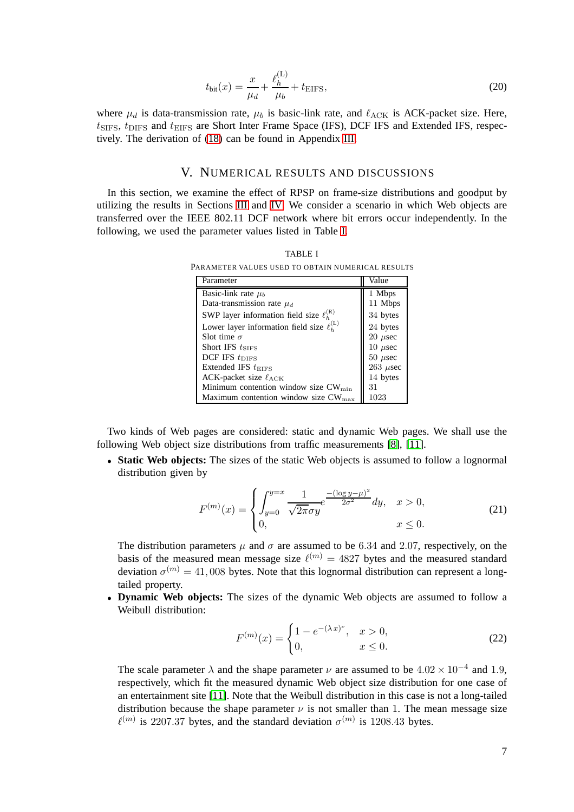$$
t_{\text{bit}}(x) = \frac{x}{\mu_d} + \frac{\ell_h^{(\text{L})}}{\mu_b} + t_{\text{EIFS}},
$$
\n(20)

where  $\mu_d$  is data-transmission rate,  $\mu_b$  is basic-link rate, and  $\ell_{\text{ACK}}$  is ACK-packet size. Here,  $t_{\text{SIFS}}$ ,  $t_{\text{DIFS}}$  and  $t_{\text{EIFS}}$  are Short Inter Frame Space (IFS), DCF IFS and Extended IFS, respectively. The derivation of [\(18\)](#page-5-2) can be found in Appendix [III.](#page-13-0)

### V. NUMERICAL RESULTS AND DISCUSSIONS

<span id="page-6-1"></span><span id="page-6-0"></span>In this section, we examine the effect of RPSP on frame-size distributions and goodput by utilizing the results in Sections [III](#page-2-0) and [IV.](#page-5-0) We consider a scenario in which Web objects are transferred over the IEEE 802.11 DCF network where bit errors occur independently. In the following, we used the parameter values listed in Table [I.](#page-6-1)

TABLE I PARAMETER VALUES USED TO OBTAIN NUMERICAL RESULTS

| Parameter                                           | Value           |
|-----------------------------------------------------|-----------------|
|                                                     |                 |
| Basic-link rate $\mu_b$                             | 1 Mbps          |
| Data-transmission rate $\mu_d$                      | 11 Mbps         |
| SWP layer information field size $\ell_{h}^{(R)}$   | 34 bytes        |
| Lower layer information field size $\ell_{h}^{(L)}$ | 24 bytes        |
| Slot time $\sigma$                                  | $20 \mu$ sec    |
| Short IFS $t_{\text{SIFS}}$                         | 10 $\mu$ sec    |
| $DCF$ IFS $t_{\text{DIFS}}$                         | $50 \ \mu$ sec  |
| Extended IFS $t_{\text{EIFS}}$                      | $263$ $\mu$ sec |
| ACK-packet size $\ell_{\text{ACK}}$                 | 14 bytes        |
| Minimum contention window size CW <sub>min</sub>    | 31              |
| Maximum contention window size $CW_{\text{max}}$    | 1023            |

Two kinds of Web pages are considered: static and dynamic Web pages. We shall use the following Web object size distributions from traffic measurements [\[8\]](#page-15-5), [\[11\]](#page-15-9).

• **Static Web objects:** The sizes of the static Web objects is assumed to follow a lognormal distribution given by

$$
F^{(m)}(x) = \begin{cases} \int_{y=0}^{y=x} \frac{1}{\sqrt{2\pi}\sigma y} e^{-\frac{(\log y - \mu)^2}{2\sigma^2}} dy, & x > 0, \\ 0, & x \le 0. \end{cases}
$$
(21)

The distribution parameters  $\mu$  and  $\sigma$  are assumed to be 6.34 and 2.07, respectively, on the basis of the measured mean message size  $\ell^{(m)} = 4827$  bytes and the measured standard deviation  $\sigma^{(m)} = 41,008$  bytes. Note that this lognormal distribution can represent a longtailed property.

• **Dynamic Web objects:** The sizes of the dynamic Web objects are assumed to follow a Weibull distribution:

$$
F^{(m)}(x) = \begin{cases} 1 - e^{-(\lambda x)^{\nu}}, & x > 0, \\ 0, & x \le 0. \end{cases}
$$
 (22)

The scale parameter  $\lambda$  and the shape parameter  $\nu$  are assumed to be  $4.02 \times 10^{-4}$  and 1.9, respectively, which fit the measured dynamic Web object size distribution for one case of an entertainment site [\[11\]](#page-15-9). Note that the Weibull distribution in this case is not a long-tailed distribution because the shape parameter  $\nu$  is not smaller than 1. The mean message size  $\ell^{(m)}$  is 2207.37 bytes, and the standard deviation  $\sigma^{(m)}$  is 1208.43 bytes.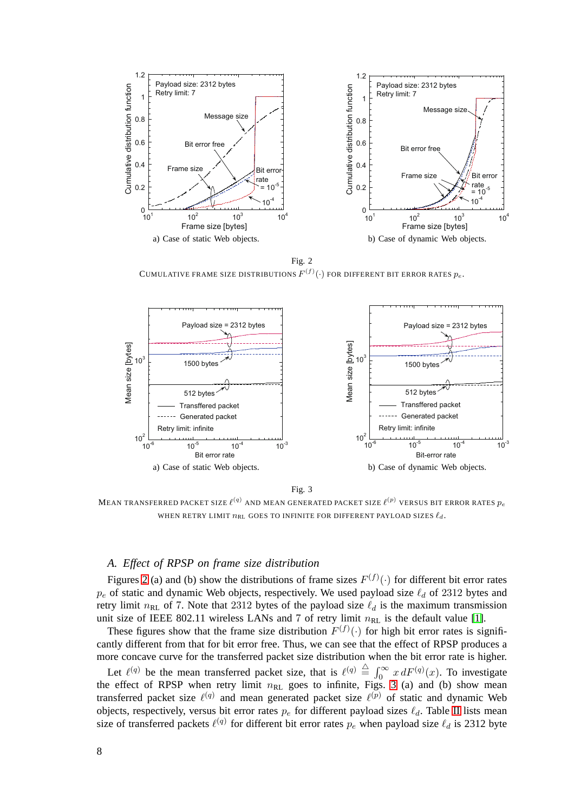

Fig. 2 CUMULATIVE FRAME SIZE DISTRIBUTIONS  $F^{(f)}(\cdot)$  for different bit error rates  $p_e$  .

<span id="page-7-0"></span>

Fig. 3

<span id="page-7-1"></span>MEAN TRANSFERRED PACKET SIZE  $\ell^{(q)}$  and mean generated packet size  $\ell^{(p)}$  versus bit error rates  $p_e$ WHEN RETRY LIMIT  $n_{\rm RL}$  GOES TO INFINITE FOR DIFFERENT PAYLOAD SIZES  $\ell_d$  .

## *A. Effect of RPSP on frame size distribution*

Figures [2](#page-7-0) (a) and (b) show the distributions of frame sizes  $F^{(f)}(\cdot)$  for different bit error rates  $p_e$  of static and dynamic Web objects, respectively. We used payload size  $\ell_d$  of 2312 bytes and retry limit  $n_{RL}$  of 7. Note that 2312 bytes of the payload size  $\ell_d$  is the maximum transmission unit size of IEEE 802.11 wireless LANs and 7 of retry limit  $n_{\text{RL}}$  is the default value [\[1\]](#page-15-0).

These figures show that the frame size distribution  $F^{(f)}(\cdot)$  for high bit error rates is significantly different from that for bit error free. Thus, we can see that the effect of RPSP produces a more concave curve for the transferred packet size distribution when the bit error rate is higher.

Let  $\ell^{(q)}$  be the mean transferred packet size, that is  $\ell^{(q)} \triangleq \int_0^\infty x \, dF^{(q)}(x)$ . To investigate the effect of RPSP when retry limit  $n_{RL}$  goes to infinite, Figs. [3](#page-7-1) (a) and (b) show mean transferred packet size  $\ell^{(q)}$  and mean generated packet size  $\ell^{(p)}$  of static and dynamic Web objects, respectively, versus bit error rates  $p_e$  for different payload sizes  $\ell_d$ . Table [II](#page-8-0) lists mean size of transferred packets  $\ell^{(q)}$  for different bit error rates  $p_e$  when payload size  $\ell_d$  is 2312 byte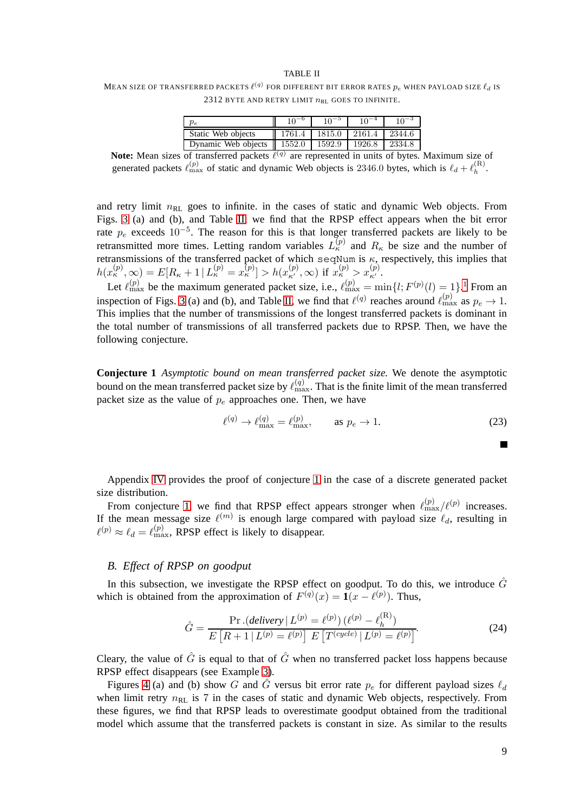#### TABLE II

<span id="page-8-0"></span>MEAN SIZE OF TRANSFERRED PACKETS  $\ell^{(q)}$  for different bit error rates  $p_e$  when payload size  $\ell_d$  is 2312 BYTE AND RETRY LIMIT  $n_{RL}$  GOES TO INFINITE.

| $v_{e}$             |        | $10^{-5}$ | $10^{-4}$ | $10^{-3}$ |
|---------------------|--------|-----------|-----------|-----------|
| Static Web objects  | 1761.4 | 1815.0    | 12161.4   | 2344.6    |
| Dynamic Web objects | 1552.0 | 1592.9    | 1926.8    | 2334.8    |

Note: Mean sizes of transferred packets  $\ell^{(q)}$  are represented in units of bytes. Maximum size of generated packets  $\ell_{\max}^{(p)}$  of static and dynamic Web objects is 2346.0 bytes, which is  $\ell_d + \ell_h^{(R)}$  $h^{(n)}$ .

and retry limit  $n_{\text{RL}}$  goes to infinite. in the cases of static and dynamic Web objects. From Figs. [3](#page-7-1) (a) and (b), and Table [II,](#page-8-0) we find that the RPSP effect appears when the bit error rate  $p_e$  exceeds 10<sup>-5</sup>. The reason for this is that longer transferred packets are likely to be retransmitted more times. Letting random variables  $L_{\kappa}^{(p)}$  and  $R_{\kappa}$  be size and the number of retransmissions of the transferred packet of which seqNum is  $\kappa$ , respectively, this implies that  $h(x_k^{(p)}, \infty) = E[R_{\kappa} + 1 | L_{\kappa}^{(p)} = x_{\kappa}^{(p)}] > h(x_{\kappa'}^{(p)}, \infty) \text{ if } x_{\kappa}^{(p)} > x_{\kappa'}^{(p)}.$ 

Let  $\ell_{\max}^{(p)}$  be the maximum generated packet size, i.e.,  $\ell_{\max}^{(p)} = \min\{l; F^{(p)}(l) = 1\}$  $\ell_{\max}^{(p)} = \min\{l; F^{(p)}(l) = 1\}$  $\ell_{\max}^{(p)} = \min\{l; F^{(p)}(l) = 1\}$ .<sup>1</sup> From an inspection of Figs. [3](#page-7-1) (a) and (b), and Table [II,](#page-8-0) we find that  $\ell^{(q)}$  reaches around  $\ell_{\max}^{(p)}$  as  $p_e \to 1$ . This implies that the number of transmissions of the longest transferred packets is dominant in the total number of transmissions of all transferred packets due to RPSP. Then, we have the following conjecture.

<span id="page-8-1"></span>**Conjecture 1** *Asymptotic bound on mean transferred packet size.* We denote the asymptotic bound on the mean transferred packet size by  $\ell_{\max}^{(q)}$ . That is the finite limit of the mean transferred packet size as the value of  $p_e$  approaches one. Then, we have

$$
\ell^{(q)} \to \ell_{\text{max}}^{(q)} = \ell_{\text{max}}^{(p)}, \qquad \text{as } p_e \to 1.
$$

| Appendix IV provides the proof of conjecture 1 in the case of a discrete generated packet |  |  |  |  |  |  |
|-------------------------------------------------------------------------------------------|--|--|--|--|--|--|
|                                                                                           |  |  |  |  |  |  |
| size distribution.                                                                        |  |  |  |  |  |  |

From conjecture [1,](#page-8-1) we find that RPSP effect appears stronger when  $\ell_{\rm max}^{(p)}/\ell^{(p)}$  increases. If the mean message size  $\ell^{(m)}$  is enough large compared with payload size  $\ell_d$ , resulting in  $\ell^{(p)} \approx \ell_d = \ell_{\text{max}}^{(p)}$ , RPSP effect is likely to disappear.

#### *B. Effect of RPSP on goodput*

In this subsection, we investigate the RPSP effect on goodput. To do this, we introduce  $\hat{G}$ which is obtained from the approximation of  $F^{(q)}(x) = \mathbf{1}(x - \ell^{(p)})$ . Thus,

$$
\hat{G} = \frac{\Pr\left(delivery \mid L^{(p)} = \ell^{(p)}\right)\left(\ell^{(p)} - \ell^{(R)}_h\right)}{E\left[R + 1 \mid L^{(p)} = \ell^{(p)}\right]E\left[T^{(cycle)} \mid L^{(p)} = \ell^{(p)}\right]}.
$$
\n(24)

Cleary, the value of  $\hat{G}$  is equal to that of  $\hat{G}$  when no transferred packet loss happens because RPSP effect disappears (see Example [3\)](#page-4-2).

Figures [4](#page-9-2) (a) and (b) show G and  $\hat{G}$  versus bit error rate  $p_e$  for different payload sizes  $\ell_d$ when limit retry  $n_{\text{RL}}$  is 7 in the cases of static and dynamic Web objects, respectively. From these figures, we find that RPSP leads to overestimate goodput obtained from the traditional model which assume that the transferred packets is constant in size. As similar to the results

<span id="page-8-2"></span> $\blacksquare$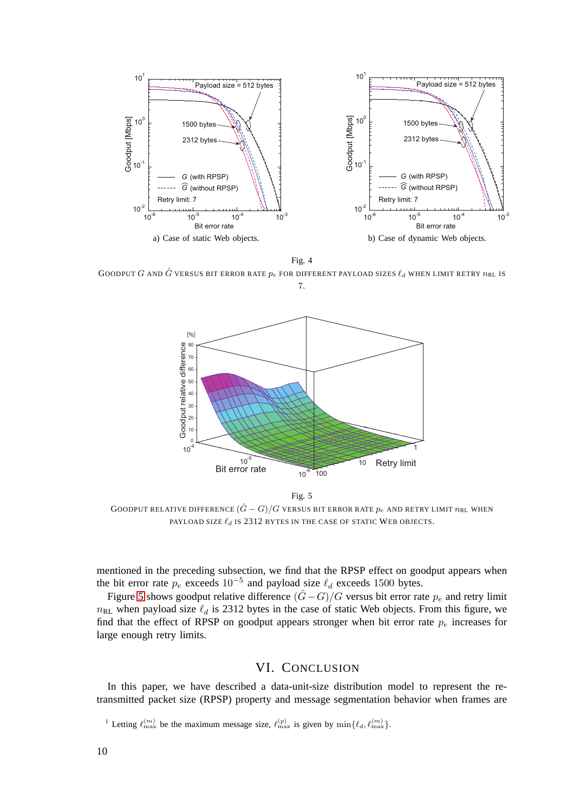

Fig. 4

<span id="page-9-2"></span>GOODPUT G AND  $\hat{G}$  versus bit error rate  $p_e$  for different payload sizes  $\ell_d$  when limit retry  $n_{\rm RL}$  is 7.



<span id="page-9-3"></span>Fig. 5 GOODPUT RELATIVE DIFFERENCE  $(\hat{G} - G)/G$  versus bit error rate  $p_e$  and retry limit  $n_{\rm RL}$  when PAYLOAD SIZE  $\ell_d$  is 2312 bytes in the case of static Web objects.

mentioned in the preceding subsection, we find that the RPSP effect on goodput appears when the bit error rate  $p_e$  exceeds  $10^{-5}$  and payload size  $\ell_d$  exceeds 1500 bytes.

Figure [5](#page-9-3) shows goodput relative difference  $(\hat{G} - G)/G$  versus bit error rate  $p_e$  and retry limit  $n_{\text{RL}}$  when payload size  $\ell_d$  is 2312 bytes in the case of static Web objects. From this figure, we find that the effect of RPSP on goodput appears stronger when bit error rate  $p_e$  increases for large enough retry limits.

## VI. CONCLUSION

<span id="page-9-0"></span>In this paper, we have described a data-unit-size distribution model to represent the retransmitted packet size (RPSP) property and message segmentation behavior when frames are

<span id="page-9-1"></span><sup>&</sup>lt;sup>1</sup> Letting  $\ell_{\max}^{(m)}$  be the maximum message size,  $\ell_{\max}^{(p)}$  is given by  $\min\{\ell_d, \ell_{\max}^{(m)}\}.$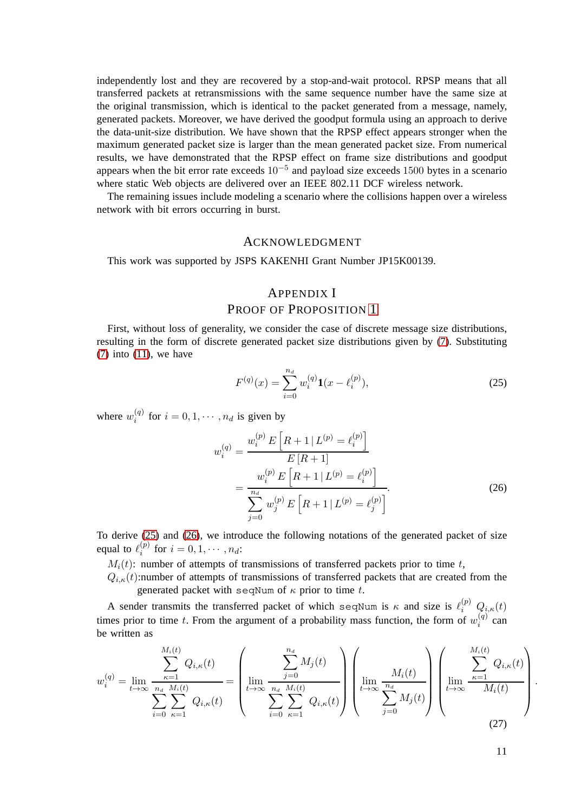independently lost and they are recovered by a stop-and-wait protocol. RPSP means that all transferred packets at retransmissions with the same sequence number have the same size at the original transmission, which is identical to the packet generated from a message, namely, generated packets. Moreover, we have derived the goodput formula using an approach to derive the data-unit-size distribution. We have shown that the RPSP effect appears stronger when the maximum generated packet size is larger than the mean generated packet size. From numerical results, we have demonstrated that the RPSP effect on frame size distributions and goodput appears when the bit error rate exceeds  $10^{-5}$  and payload size exceeds 1500 bytes in a scenario where static Web objects are delivered over an IEEE 802.11 DCF wireless network.

The remaining issues include modeling a scenario where the collisions happen over a wireless network with bit errors occurring in burst.

#### ACKNOWLEDGMENT

This work was supported by JSPS KAKENHI Grant Number JP15K00139.

## <span id="page-10-0"></span>APPENDIX I PROOF OF PROPOSITION [1](#page-4-3)

First, without loss of generality, we consider the case of discrete message size distributions, resulting in the form of discrete generated packet size distributions given by [\(7\)](#page-3-3). Substituting  $(7)$  into  $(11)$ , we have

<span id="page-10-1"></span>
$$
F^{(q)}(x) = \sum_{i=0}^{n_d} w_i^{(q)} \mathbf{1}(x - \ell_i^{(p)}),
$$
 (25)

where  $w_i^{(q)}$  $i_i^{(q)}$  for  $i = 0, 1, \dots, n_d$  is given by

$$
w_i^{(q)} = \frac{w_i^{(p)} E\left[R+1 \mid L^{(p)} = \ell_i^{(p)}\right]}{E\left[R+1\right]}
$$
  
= 
$$
\frac{w_i^{(p)} E\left[R+1 \mid L^{(p)} = \ell_i^{(p)}\right]}{\sum_{j=0}^{n_d} w_j^{(p)} E\left[R+1 \mid L^{(p)} = \ell_j^{(p)}\right]}.
$$
 (26)

To derive [\(25\)](#page-10-1) and [\(26\)](#page-10-2), we introduce the following notations of the generated packet of size equal to  $\ell_i^{(p)}$  $i^{(p)}$  for  $i = 0, 1, \cdots, n_d$ :

 $M_i(t)$ : number of attempts of transmissions of transferred packets prior to time t,

 $Q_{i,\kappa}(t)$ :number of attempts of transmissions of transferred packets that are created from the generated packet with seqNum of  $\kappa$  prior to time t.

A sender transmits the transferred packet of which seqNum is  $\kappa$  and size is  $\ell_i^{(p)}$   $Q_{i,\kappa}(t)$ times prior to time t. From the argument of a probability mass function, the form of  $w_i^{(q)}$  $i^{(q)}$  can be written as

$$
w_i^{(q)} = \lim_{t \to \infty} \frac{\sum_{\kappa=1}^{M_i(t)} Q_{i,\kappa}(t)}{\sum_{i=0}^{n_d} \sum_{\kappa=1}^{M_i(t)} Q_{i,\kappa}(t)} = \left( \lim_{t \to \infty} \frac{\sum_{j=0}^{n_d} M_j(t)}{\sum_{i=0}^{n_d} \sum_{\kappa=1}^{M_i(t)} Q_{i,\kappa}(t)} \right) \left( \lim_{t \to \infty} \frac{M_i(t)}{\sum_{j=0}^{n_d} M_j(t)} \right) \left( \lim_{t \to \infty} \frac{\sum_{\kappa=1}^{M_i(t)} Q_{i,\kappa}(t)}{M_i(t)} \right)
$$
(27)

<span id="page-10-3"></span><span id="page-10-2"></span>.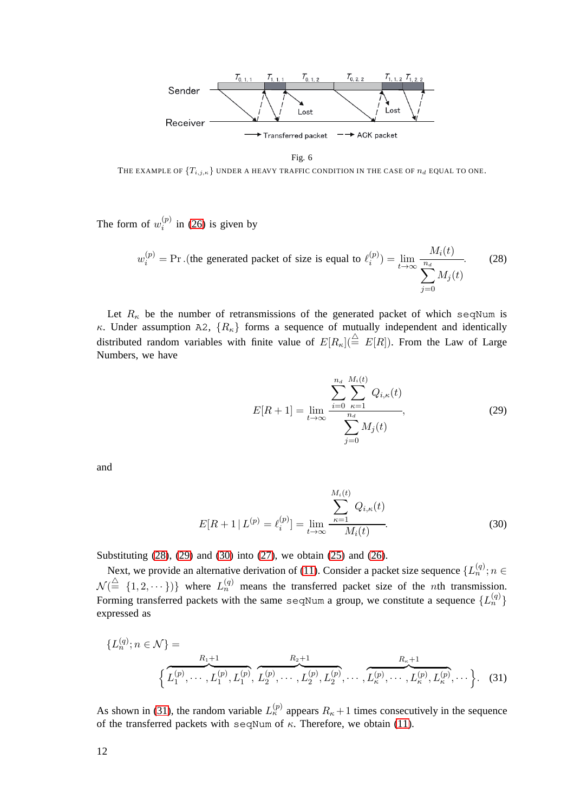

<span id="page-11-0"></span>Fig. 6

<span id="page-11-4"></span>THE EXAMPLE OF  $\{T_{i,j,\kappa}\}$  UNDER A HEAVY TRAFFIC CONDITION IN THE CASE OF  $n_d$  EQUAL TO ONE.

The form of  $w_i^{(p)}$  $i^{(p)}$  in [\(26\)](#page-10-2) is given by

$$
w_i^{(p)} = \Pr . \text{ (the generated packet of size is equal to } \ell_i^{(p)}) = \lim_{t \to \infty} \frac{M_i(t)}{\sum_{j=0}^{n_d} M_j(t)}.
$$
 (28)

Let  $R_{\kappa}$  be the number of retransmissions of the generated packet of which seqNum is κ. Under assumption A2,  $\{R_{\kappa}\}\$  forms a sequence of mutually independent and identically distributed random variables with finite value of  $E[R_{\kappa}](\stackrel{\triangle}{=} E[R])$ . From the Law of Large Numbers, we have

<span id="page-11-2"></span><span id="page-11-1"></span>
$$
E[R+1] = \lim_{t \to \infty} \frac{\sum_{i=0}^{n_d} \sum_{\kappa=1}^{M_i(t)} Q_{i,\kappa}(t)}{\sum_{j=0}^{n_d} M_j(t)},
$$
(29)

and

<span id="page-11-3"></span>
$$
E[R+1 | L^{(p)} = \ell_i^{(p)}] = \lim_{t \to \infty} \frac{\sum_{\kappa=1}^{M_i(t)} Q_{i,\kappa}(t)}{M_i(t)}.
$$
 (30)

Substituting [\(28\)](#page-11-0), [\(29\)](#page-11-1) and [\(30\)](#page-11-2) into [\(27\)](#page-10-3), we obtain [\(25\)](#page-10-1) and [\(26\)](#page-10-2).

Next, we provide an alternative derivation of [\(11\)](#page-4-0). Consider a packet size sequence  $\{L_n^{(q)}; n \in \mathbb{R}^n\}$  $\mathcal{N}(\triangleq \{1, 2, \dots\})\}$  where  $L_n^{(q)}$  means the transferred packet size of the *n*th transmission. Forming transferred packets with the same seqNum a group, we constitute a sequence  $\{L_n^{(q)}\}$ expressed as

$$
\{L_n^{(q)}; n \in \mathcal{N}\} = \left\{\overbrace{L_1^{(p)}, \cdots, L_1^{(p)}, L_1^{(p)}, \overbrace{L_2^{(p)}, \cdots, L_2^{(p)}, L_2^{(p)}, \cdots, L_K^{(p)}, \cdots, L_K^{(p)}, L_K^{(p)}, \cdots}^{R_{\kappa}+1}}^{\quad R_{\kappa}+1}\right\}
$$
 (31)

As shown in [\(31\)](#page-11-3), the random variable  $L_{\kappa}^{(p)}$  appears  $R_{\kappa}+1$  times consecutively in the sequence of the transferred packets with seqNum of  $\kappa$ . Therefore, we obtain [\(11\)](#page-4-0).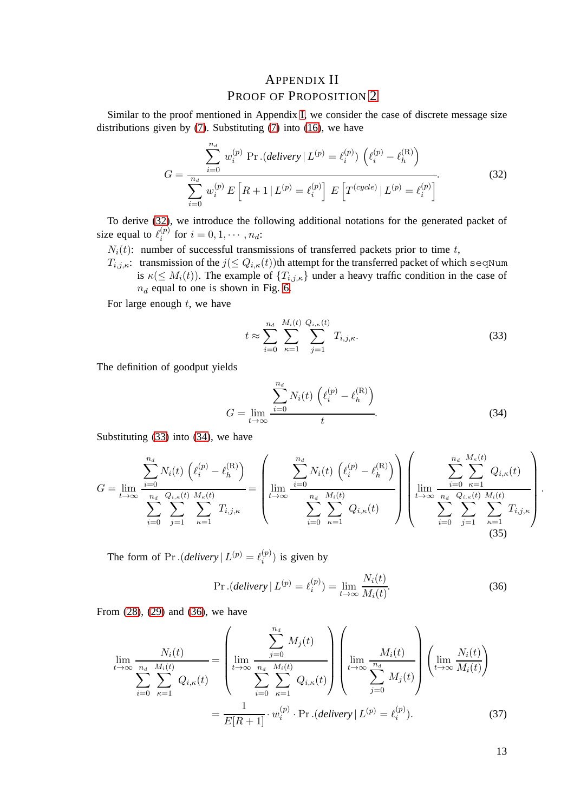## <span id="page-12-1"></span><span id="page-12-0"></span>APPENDIX II PROOF OF PROPOSITION [2](#page-5-3)

Similar to the proof mentioned in Appendix [I,](#page-10-0) we consider the case of discrete message size distributions given by [\(7\)](#page-3-3). Substituting [\(7\)](#page-3-3) into [\(16\)](#page-5-1), we have

$$
G = \frac{\sum_{i=0}^{n_d} w_i^{(p)} \Pr.(delivery \mid L^{(p)} = \ell_i^{(p)}) \left(\ell_i^{(p)} - \ell_h^{(R)}\right)}{\sum_{i=0}^{n_d} w_i^{(p)} E\left[R + 1 \mid L^{(p)} = \ell_i^{(p)}\right] E\left[T^{(cycle)} \mid L^{(p)} = \ell_i^{(p)}\right]}.
$$
(32)

To derive [\(32\)](#page-12-1), we introduce the following additional notations for the generated packet of size equal to  $\ell_i^{(p)}$  $i^{(p)}$  for  $i = 0, 1, \cdots, n_d$ :

 $N_i(t)$ : number of successful transmissions of transferred packets prior to time t,

 $T_{i,j,\kappa}$ : transmission of the  $j(\leq Q_{i,\kappa}(t))$ th attempt for the transferred packet of which seqNum is  $\kappa(\leq M_i(t))$ . The example of  $\{T_{i,j,\kappa}\}\)$  under a heavy traffic condition in the case of  $n_d$  equal to one is shown in Fig. [6.](#page-11-4)

For large enough  $t$ , we have

$$
t \approx \sum_{i=0}^{n_d} \sum_{\kappa=1}^{M_i(t)} \sum_{j=1}^{Q_{i,\kappa}(t)} T_{i,j,\kappa}.
$$
 (33)

The definition of goodput yields

$$
G = \lim_{t \to \infty} \frac{\sum_{i=0}^{n_d} N_i(t) \left( \ell_i^{(p)} - \ell_h^{(\mathcal{R})} \right)}{t}.
$$
\n(34)

Substituting [\(33\)](#page-12-2) into [\(34\)](#page-12-3), we have

$$
G = \lim_{t \to \infty} \frac{\sum_{i=0}^{n_d} N_i(t) \left( \ell_i^{(p)} - \ell_h^{(R)} \right)}{\sum_{i=0}^{n_d} \sum_{j=1}^{Q_{i,\kappa}(t)} \sum_{\kappa=1}^{M_{\kappa}(t)} T_{i,j,\kappa}} = \left( \lim_{t \to \infty} \frac{\sum_{i=0}^{n_d} N_i(t) \left( \ell_i^{(p)} - \ell_h^{(R)} \right)}{\sum_{i=0}^{n_d} \sum_{\kappa=1}^{M_i(t)} Q_{i,\kappa}(t)} \right) \left( \lim_{t \to \infty} \frac{\sum_{i=0}^{n_d} \sum_{\kappa=1}^{M_{\kappa}(t)} Q_{i,\kappa}(t)}{\sum_{i=0}^{n_d} \sum_{j=1}^{Q_{i,\kappa}(t)} \sum_{\kappa=1}^{M_i(t)} T_{i,j,\kappa}} \right)
$$
(35)

The form of Pr. (*delivery*  $| L^{(p)} = \ell_i^{(p)}$  $i^{(p)}$ ) is given by

$$
\Pr.(delivery | L^{(p)} = \ell_i^{(p)}) = \lim_{t \to \infty} \frac{N_i(t)}{M_i(t)}.
$$
\n(36)

From [\(28\)](#page-11-0), [\(29\)](#page-11-1) and [\(36\)](#page-12-4), we have

$$
\lim_{t \to \infty} \frac{N_i(t)}{\sum_{i=0}^{n_d} \sum_{\kappa=1}^{M_i(t)} Q_{i,\kappa}(t)} = \left( \lim_{t \to \infty} \frac{\sum_{j=0}^{n_d} M_j(t)}{\sum_{i=0}^{n_d} \sum_{\kappa=1}^{M_i(t)} Q_{i,\kappa}(t)} \right) \left( \lim_{t \to \infty} \frac{M_i(t)}{\sum_{j=0}^{n_d} M_j(t)} \right) \left( \lim_{t \to \infty} \frac{N_i(t)}{M_i(t)} \right)
$$
\n
$$
= \frac{1}{E[R+1]} \cdot w_i^{(p)} \cdot \Pr.(delively | L^{(p)} = \ell_i^{(p)}).
$$
\n(37)

13

<span id="page-12-5"></span><span id="page-12-4"></span><span id="page-12-3"></span><span id="page-12-2"></span>.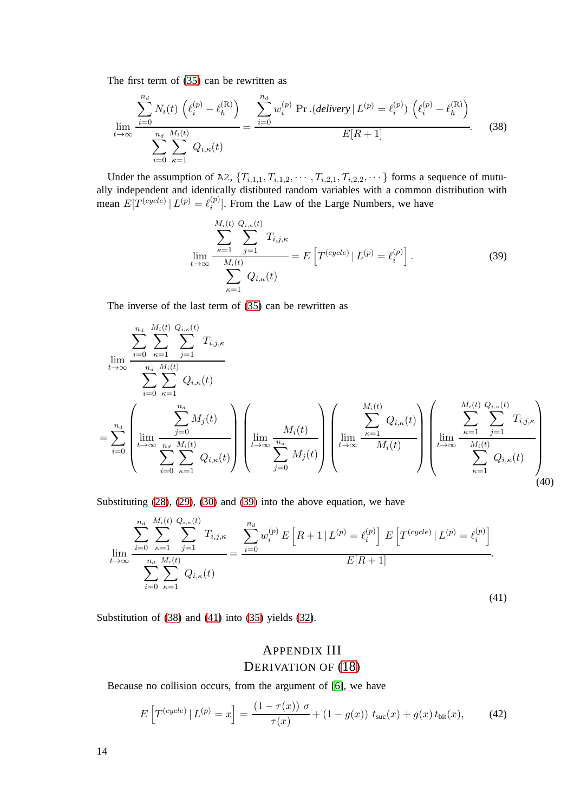The first term of [\(35\)](#page-12-5) can be rewritten as

$$
\lim_{t \to \infty} \frac{\sum_{i=0}^{n_d} N_i(t) \left( \ell_i^{(p)} - \ell_h^{(R)} \right)}{\sum_{i=0}^{n_d} \sum_{\kappa=1}^{M_i(t)} Q_{i,\kappa}(t)} = \frac{\sum_{i=0}^{n_d} w_i^{(p)} \Pr.(delivery \mid L^{(p)} = \ell_i^{(p)}) \left( \ell_i^{(p)} - \ell_h^{(R)} \right)}{E[R+1]}
$$
(38)

Under the assumption of A2,  $\{T_{i,1,1}, T_{i,1,2}, \cdots, T_{i,2,1}, T_{i,2,2}, \cdots\}$  forms a sequence of mutually independent and identically distibuted random variables with a common distribution with mean  $E[T^{(cycle)} | L^{(p)} = \ell_i^{(p)}]$  $\binom{p}{i}$ . From the Law of the Large Numbers, we have

<span id="page-13-2"></span><span id="page-13-1"></span>
$$
\lim_{t \to \infty} \frac{\sum_{\kappa=1}^{M_i(t)} \sum_{j=1}^{Q_{i,\kappa}(t)} T_{i,j,\kappa}}{\sum_{\kappa=1}^{M_i(t)} Q_{i,\kappa}(t)} = E\left[ T^{(cycle)} | L^{(p)} = \ell_i^{(p)} \right].
$$
\n(39)

The inverse of the last term of [\(35\)](#page-12-5) can be rewritten as

$$
\lim_{t \to \infty} \frac{\sum_{i=0}^{n_d} \sum_{\kappa=1}^{M_i(t)} \sum_{j=1}^{Q_{i,\kappa}(t)} T_{i,j,\kappa}}{\sum_{i=0}^{n_d} \sum_{\kappa=1}^{M_i(t)} Q_{i,\kappa}(t)}
$$
\n
$$
= \sum_{i=0}^{n_d} \left( \lim_{t \to \infty} \frac{\sum_{j=0}^{n_d} M_j(t)}{\sum_{i=0}^{n_d} \sum_{\kappa=1}^{M_i(t)} Q_{i,\kappa}(t)} \right) \left( \lim_{t \to \infty} \frac{M_i(t)}{\sum_{j=0}^{n_d} M_j(t)} \right) \left( \lim_{t \to \infty} \frac{\sum_{\kappa=1}^{M_i(t)} Q_{i,\kappa}(t)}{M_i(t)} \right) \left( \lim_{t \to \infty} \frac{\sum_{\kappa=1}^{M_i(t)} Q_{i,\kappa}(t)}{M_i(t)} \right) \left( \lim_{t \to \infty} \frac{\sum_{\kappa=1}^{M_i(t)} \sum_{j=1}^{Q_{i,\kappa}(t)} T_{i,j,\kappa}}{\sum_{\kappa=1}^{M_i(t)} Q_{i,\kappa}(t)} \right) \right)
$$
\n(40)

Substituting [\(28\)](#page-11-0), [\(29\)](#page-11-1), [\(30\)](#page-11-2) and [\(39\)](#page-13-1) into the above equation, we have

$$
\lim_{t \to \infty} \frac{\sum_{i=0}^{n_d} \sum_{\kappa=1}^{M_i(t)} Q_{i,\kappa}(t)}{\sum_{i=0}^{n_d} \sum_{\kappa=1}^{M_i(t)} Q_{i,\kappa}(t)} = \frac{\sum_{i=0}^{n_d} w_i^{(p)} E\left[R+1 \mid L^{(p)} = \ell_i^{(p)}\right] E\left[T^{(cycle)} \mid L^{(p)} = \ell_i^{(p)}\right]}{E[R+1]}.
$$
\n(41)

Substitution of [\(38\)](#page-13-2) and [\(41\)](#page-13-3) into [\(35\)](#page-12-5) yields [\(32\)](#page-12-1).

# <span id="page-13-4"></span><span id="page-13-3"></span><span id="page-13-0"></span>APPENDIX III DERIVATION OF  $(18)$

Because no collision occurs, from the argument of [\[6\]](#page-15-8), we have

$$
E\left[T^{(cycle)} | L^{(p)} = x\right] = \frac{(1 - \tau(x)) \sigma}{\tau(x)} + (1 - g(x)) t_{\text{suc}}(x) + g(x) t_{\text{bit}}(x), \tag{42}
$$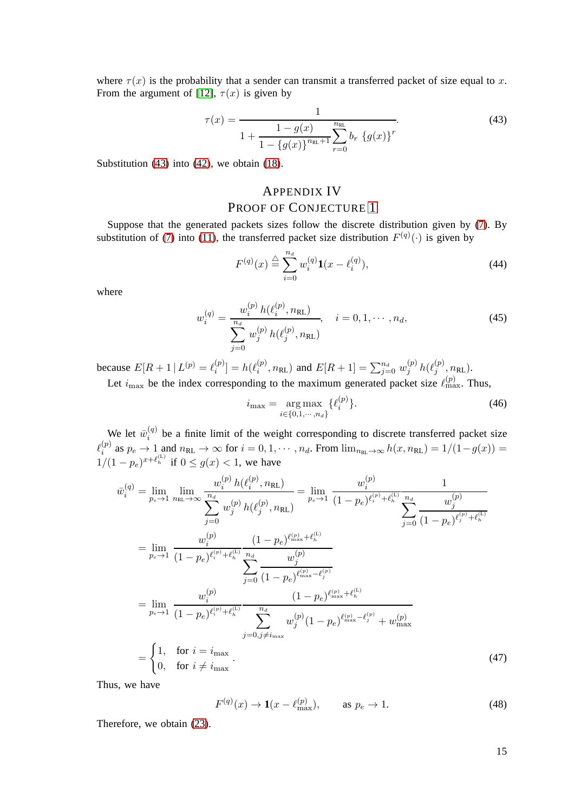where  $\tau(x)$  is the probability that a sender can transmit a transferred packet of size equal to x. From the argument of [\[12\]](#page-15-10),  $\tau(x)$  is given by

$$
\tau(x) = \frac{1}{1 + \frac{1 - g(x)}{1 - \{g(x)\}^{n_{\text{RL}}} + 1} \sum_{r=0}^{n_{\text{RL}}} b_r \{g(x)\}^r}
$$
\n(43)

Substitution [\(43\)](#page-14-1) into [\(42\)](#page-13-4), we obtain [\(18\)](#page-5-2).

## <span id="page-14-1"></span><span id="page-14-0"></span>APPENDIX IV PROOF OF CONJECTURE [1](#page-8-1)

Suppose that the generated packets sizes follow the discrete distribution given by [\(7\)](#page-3-3). By substitution of [\(7\)](#page-3-3) into [\(11\)](#page-4-0), the transferred packet size distribution  $F^{(q)}(\cdot)$  is given by

$$
F^{(q)}(x) \stackrel{\triangle}{=} \sum_{i=0}^{n_d} w_i^{(q)} \mathbf{1}(x - \ell_i^{(q)}),
$$
 (44)

where

$$
w_i^{(q)} = \frac{w_i^{(p)} h(\ell_i^{(p)}, n_{\text{RL}})}{\sum_{j=0}^{n_d} w_j^{(p)} h(\ell_j^{(p)}, n_{\text{RL}})}, \quad i = 0, 1, \cdots, n_d,
$$
 (45)

because  $E[R + 1 | L^{(p)} = \ell_i^{(p)}]$  $\binom{p}{i} = h(\ell_i^{(p)})$  $i^{(p)}, n_{\text{RL}}$ ) and  $E[R + 1] = \sum_{j=0}^{n_d} w_j^{(p)}$  $_j^{(p)}$   $h(\ell_j^{(p)}$  $j^{(p)}, n_{\rm RL}$ ). Let  $i_{\text{max}}$  be the index corresponding to the maximum generated packet size  $\ell_{\text{max}}^{(p)}$ . Thus,

$$
i_{\max} = \underset{i \in \{0, 1, \cdots, n_d\}}{\arg \max} \{ \ell_i^{(p)} \}. \tag{46}
$$

 $\mathbb{R}^2$ 

We let  $\bar{w}_i^{(q)}$  $\binom{q}{i}$  be a finite limit of the weight corresponding to discrete transferred packet size  $\ell_i^{(p)}$  $i^{(p)}$  as  $p_e \to 1$  and  $n_{RL} \to \infty$  for  $i = 0, 1, \cdots, n_d$ . From  $\lim_{n_{RL} \to \infty} h(x, n_{RL}) = 1/(1 - g(x)) =$  $1/(1 - p_e)^{x + \ell_h^{(L)}}$  if  $0 \le g(x) < 1$ , we have

$$
\bar{w}_{i}^{(q)} = \lim_{p_{e} \to 1} \lim_{n_{\text{RL}} \to \infty} \frac{w_{i}^{(p)} h(\ell_{i}^{(p)}, n_{\text{RL}})}{\sum_{j=0}^{n_{d}} w_{j}^{(p)} h(\ell_{j}^{(p)}, n_{\text{RL}})} = \lim_{p_{e} \to 1} \frac{w_{i}^{(p)}}{(1 - p_{e})^{\ell_{i}^{(p)} + \ell_{h}^{(L)}}} \frac{1}{\sum_{j=0}^{n_{d}} \frac{w_{j}^{(p)}}{(1 - p_{e})^{\ell_{j}^{(p)} + \ell_{h}^{(L)}}}}{\sum_{j=0}^{n_{e} \to 1} \frac{w_{i}^{(p)}}{(1 - p_{e})^{\ell_{i}^{(p)} + \ell_{h}^{(L)}}} \frac{(1 - p_{e})^{\ell_{\text{max}}^{(p)} + \ell_{h}^{(L)}}}{\sum_{j=0}^{n_{e} \to 1} \frac{w_{j}^{(p)}}{(1 - p_{e})^{\ell_{\text{max}}^{(p)} + \ell_{h}^{(L)}}} \frac{w_{j}^{(p)}}{(1 - p_{e})^{\ell_{\text{max}}^{(p)} + \ell_{h}^{(L)}}}}{\sum_{j=0, j \neq i_{\text{max}}} \frac{w_{j}^{(p)}}{w_{j}^{(p)} (1 - p_{e})^{\ell_{\text{max}}^{(p)} + \ell_{h}^{(L)}}} + w_{\text{max}}^{(p)}} = \begin{cases} 1, & \text{for } i = i_{\text{max}} \\ 0, & \text{for } i \neq i_{\text{max}} \end{cases} \tag{47}
$$

Thus, we have

$$
F^{(q)}(x) \to \mathbf{1}(x - \ell_{\text{max}}^{(p)}), \qquad \text{as } p_e \to 1.
$$
 (48)

Therefore, we obtain [\(23\)](#page-8-2).